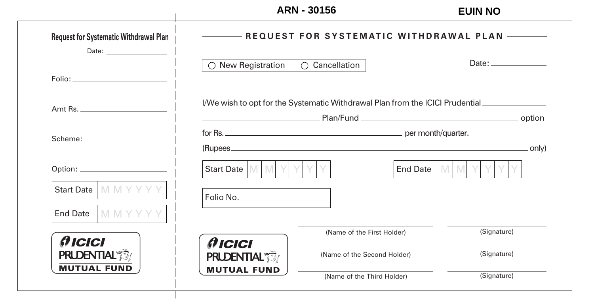## **ARN - 30156 EUIN NO**

| <b>Request for Systematic Withdrawal Plan</b><br>Date: <u>_______________________</u> | --- REQUEST FOR SYSTEMATIC WITHDRAWAL PLAN -------- |                                                                               |             |  |  |  |  |  |
|---------------------------------------------------------------------------------------|-----------------------------------------------------|-------------------------------------------------------------------------------|-------------|--|--|--|--|--|
|                                                                                       | New Registration<br>$\bigcirc$ Cancellation         |                                                                               |             |  |  |  |  |  |
|                                                                                       |                                                     | I/We wish to opt for the Systematic Withdrawal Plan from the ICICI Prudential | . option    |  |  |  |  |  |
|                                                                                       |                                                     | . only)                                                                       |             |  |  |  |  |  |
|                                                                                       | <b>Y</b><br>Start Date   M   M                      | End Date                                                                      | M<br>IM.    |  |  |  |  |  |
| Start Date   M M Y Y Y<br>End Date $\Box$ M M Y Y Y                                   | Folio No.                                           |                                                                               |             |  |  |  |  |  |
| <i><b>AICICI</b></i>                                                                  | <b>AICICI</b>                                       | (Name of the First Holder)                                                    | (Signature) |  |  |  |  |  |
| <b>PRUDENTIAL</b><br><b>MUTUAL FUND</b>                                               | <b>PRUDENTIAL</b>                                   | (Name of the Second Holder)                                                   | (Signature) |  |  |  |  |  |
|                                                                                       | <b>MUTUAL FUND</b>                                  | (Name of the Third Holder)                                                    | (Signature) |  |  |  |  |  |